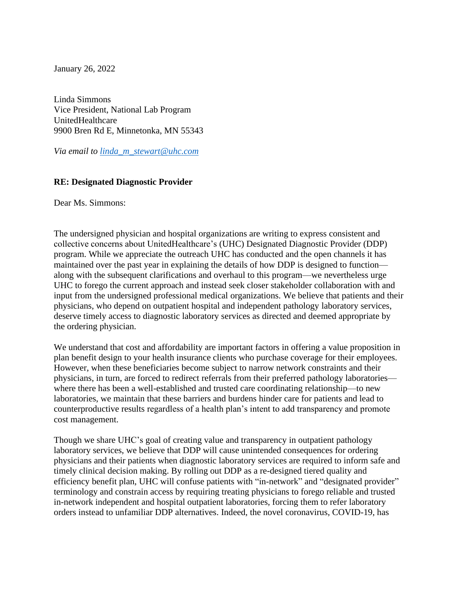January 26, 2022

Linda Simmons Vice President, National Lab Program UnitedHealthcare 9900 Bren Rd E, Minnetonka, MN 55343

*Via email to [linda\\_m\\_stewart@uhc.com](mailto:linda_m_stewart@uhc.com)* 

#### **RE: Designated Diagnostic Provider**

Dear Ms. Simmons:

The undersigned physician and hospital organizations are writing to express consistent and collective concerns about UnitedHealthcare's (UHC) Designated Diagnostic Provider (DDP) program. While we appreciate the outreach UHC has conducted and the open channels it has maintained over the past year in explaining the details of how DDP is designed to function along with the subsequent clarifications and overhaul to this program—we nevertheless urge UHC to forego the current approach and instead seek closer stakeholder collaboration with and input from the undersigned professional medical organizations. We believe that patients and their physicians, who depend on outpatient hospital and independent pathology laboratory services, deserve timely access to diagnostic laboratory services as directed and deemed appropriate by the ordering physician.

We understand that cost and affordability are important factors in offering a value proposition in plan benefit design to your health insurance clients who purchase coverage for their employees. However, when these beneficiaries become subject to narrow network constraints and their physicians, in turn, are forced to redirect referrals from their preferred pathology laboratories where there has been a well-established and trusted care coordinating relationship—to new laboratories, we maintain that these barriers and burdens hinder care for patients and lead to counterproductive results regardless of a health plan's intent to add transparency and promote cost management.

Though we share UHC's goal of creating value and transparency in outpatient pathology laboratory services, we believe that DDP will cause unintended consequences for ordering physicians and their patients when diagnostic laboratory services are required to inform safe and timely clinical decision making. By rolling out DDP as a re-designed tiered quality and efficiency benefit plan, UHC will confuse patients with "in-network" and "designated provider" terminology and constrain access by requiring treating physicians to forego reliable and trusted in-network independent and hospital outpatient laboratories, forcing them to refer laboratory orders instead to unfamiliar DDP alternatives. Indeed, the novel coronavirus, COVID-19, has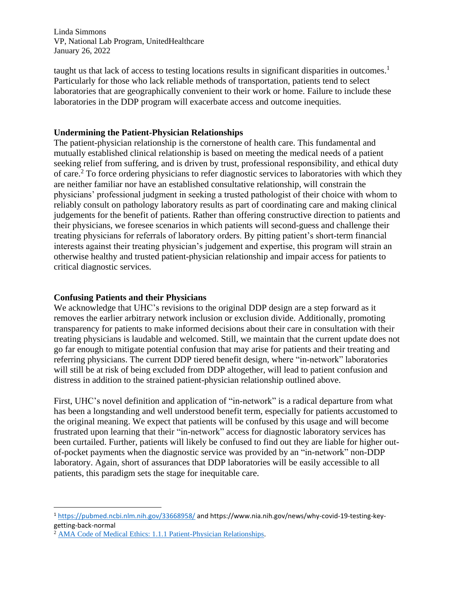Linda Simmons VP, National Lab Program, UnitedHealthcare January 26, 2022

taught us that lack of access to testing locations results in significant disparities in outcomes.<sup>1</sup> Particularly for those who lack reliable methods of transportation, patients tend to select laboratories that are geographically convenient to their work or home. Failure to include these laboratories in the DDP program will exacerbate access and outcome inequities.

### **Undermining the Patient-Physician Relationships**

The patient-physician relationship is the cornerstone of health care. This fundamental and mutually established clinical relationship is based on meeting the medical needs of a patient seeking relief from suffering, and is driven by trust, professional responsibility, and ethical duty of care.<sup>2</sup> To force ordering physicians to refer diagnostic services to laboratories with which they are neither familiar nor have an established consultative relationship, will constrain the physicians' professional judgment in seeking a trusted pathologist of their choice with whom to reliably consult on pathology laboratory results as part of coordinating care and making clinical judgements for the benefit of patients. Rather than offering constructive direction to patients and their physicians, we foresee scenarios in which patients will second-guess and challenge their treating physicians for referrals of laboratory orders. By pitting patient's short-term financial interests against their treating physician's judgement and expertise, this program will strain an otherwise healthy and trusted patient-physician relationship and impair access for patients to critical diagnostic services.

## **Confusing Patients and their Physicians**

We acknowledge that UHC's revisions to the original DDP design are a step forward as it removes the earlier arbitrary network inclusion or exclusion divide. Additionally, promoting transparency for patients to make informed decisions about their care in consultation with their treating physicians is laudable and welcomed. Still, we maintain that the current update does not go far enough to mitigate potential confusion that may arise for patients and their treating and referring physicians. The current DDP tiered benefit design, where "in-network" laboratories will still be at risk of being excluded from DDP altogether, will lead to patient confusion and distress in addition to the strained patient-physician relationship outlined above.

First, UHC's novel definition and application of "in-network" is a radical departure from what has been a longstanding and well understood benefit term, especially for patients accustomed to the original meaning. We expect that patients will be confused by this usage and will become frustrated upon learning that their "in-network" access for diagnostic laboratory services has been curtailed. Further, patients will likely be confused to find out they are liable for higher outof-pocket payments when the diagnostic service was provided by an "in-network" non-DDP laboratory. Again, short of assurances that DDP laboratories will be easily accessible to all patients, this paradigm sets the stage for inequitable care.

<sup>1</sup> <https://pubmed.ncbi.nlm.nih.gov/33668958/> and https://www.nia.nih.gov/news/why-covid-19-testing-keygetting-back-normal

<sup>2</sup> [AMA Code of Medical Ethics: 1.1.1 Patient-Physician Relationships.](file:///C:/Users/WBrady/Documents/AMA%20Code%20of%20Medical%20Ethics:%201.1.1%20Patient-Physician%20Relationships)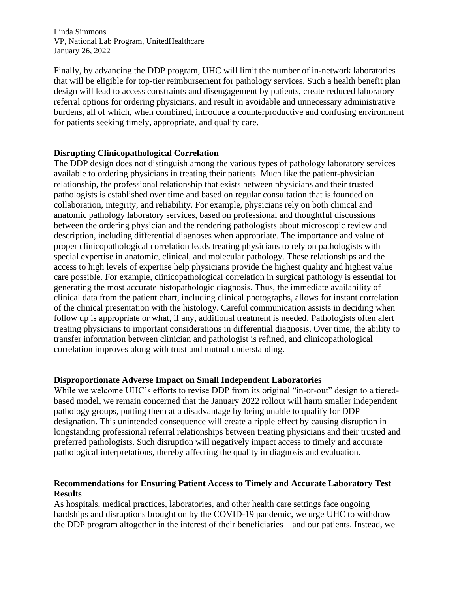Linda Simmons VP, National Lab Program, UnitedHealthcare January 26, 2022

Finally, by advancing the DDP program, UHC will limit the number of in-network laboratories that will be eligible for top-tier reimbursement for pathology services. Such a health benefit plan design will lead to access constraints and disengagement by patients, create reduced laboratory referral options for ordering physicians, and result in avoidable and unnecessary administrative burdens, all of which, when combined, introduce a counterproductive and confusing environment for patients seeking timely, appropriate, and quality care.

#### **Disrupting Clinicopathological Correlation**

The DDP design does not distinguish among the various types of pathology laboratory services available to ordering physicians in treating their patients. Much like the patient-physician relationship, the professional relationship that exists between physicians and their trusted pathologists is established over time and based on regular consultation that is founded on collaboration, integrity, and reliability. For example, physicians rely on both clinical and anatomic pathology laboratory services, based on professional and thoughtful discussions between the ordering physician and the rendering pathologists about microscopic review and description, including differential diagnoses when appropriate. The importance and value of proper clinicopathological correlation leads treating physicians to rely on pathologists with special expertise in anatomic, clinical, and molecular pathology. These relationships and the access to high levels of expertise help physicians provide the highest quality and highest value care possible. For example, clinicopathological correlation in surgical pathology is essential for generating the most accurate histopathologic diagnosis. Thus, the immediate availability of clinical data from the patient chart, including clinical photographs, allows for instant correlation of the clinical presentation with the histology. Careful communication assists in deciding when follow up is appropriate or what, if any, additional treatment is needed. Pathologists often alert treating physicians to important considerations in differential diagnosis. Over time, the ability to transfer information between clinician and pathologist is refined, and clinicopathological correlation improves along with trust and mutual understanding.

#### **Disproportionate Adverse Impact on Small Independent Laboratories**

While we welcome UHC's efforts to revise DDP from its original "in-or-out" design to a tieredbased model, we remain concerned that the January 2022 rollout will harm smaller independent pathology groups, putting them at a disadvantage by being unable to qualify for DDP designation. This unintended consequence will create a ripple effect by causing disruption in longstanding professional referral relationships between treating physicians and their trusted and preferred pathologists. Such disruption will negatively impact access to timely and accurate pathological interpretations, thereby affecting the quality in diagnosis and evaluation.

# **Recommendations for Ensuring Patient Access to Timely and Accurate Laboratory Test Results**

As hospitals, medical practices, laboratories, and other health care settings face ongoing hardships and disruptions brought on by the COVID-19 pandemic, we urge UHC to withdraw the DDP program altogether in the interest of their beneficiaries—and our patients. Instead, we